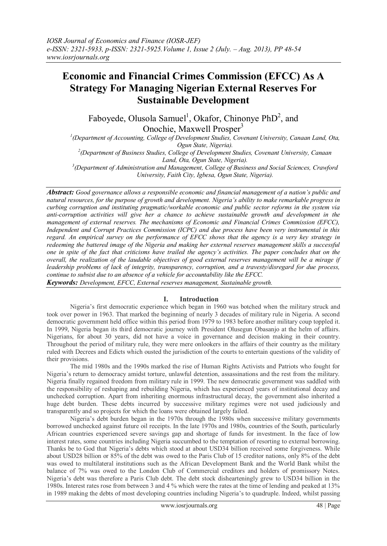# **Economic and Financial Crimes Commission (EFCC) As A Strategy For Managing Nigerian External Reserves For Sustainable Development**

Faboyede, Olusola Samuel<sup>1</sup>, Okafor, Chinonye PhD<sup>2</sup>, and Onochie, Maxwell Prosper<sup>3</sup>

<sup>1</sup>(Department of Accounting, College of Development Studies, Covenant University, Canaan Land, Ota, *Ogun State, Nigeria).*

*2 (Department of Business Studies, College of Development Studies, Covenant University, Canaan Land, Ota, Ogun State, Nigeria).*

*3 (Department of Administration and Management, College of Business and Social Sciences, Crawford University, Faith City, Igbesa, Ogun State, Nigeria).*

*Abstract: Good governance allows a responsible economic and financial management of a nation's public and natural resources, for the purpose of growth and development. Nigeria's ability to make remarkable progress in curbing corruption and instituting pragmatic/workable economic and public sector reforms in the system via anti-corruption activities will give her a chance to achieve sustainable growth and development in the management of external reserves. The mechanisms of Economic and Financial Crimes Commission (EFCC), Independent and Corrupt Practices Commission (ICPC) and due process have been very instrumental in this regard. An empirical survey on the performance of EFCC shows that the agency is a very key strategy in redeeming the battered image of the Nigeria and making her external reserves management skills a successful one in spite of the fact that criticisms have trailed the agency's activities. The paper concludes that on the overall, the realization of the laudable objectives of good external reserves management will be a mirage if leadership problems of lack of integrity, transparency, corruption, and a travesty/disregard for due process, continue to subsist due to an absence of a vehicle for accountability like the EFCC.*

*Keywords: Development, EFCC, External reserves management, Sustainable growth.*

# **I. Introduction**

Nigeria's first democratic experience which began in 1960 was botched when the military struck and took over power in 1963. That marked the beginning of nearly 3 decades of military rule in Nigeria. A second democratic government held office within this period from 1979 to 1983 before another military coup toppled it. In 1999, Nigeria began its third democratic journey with President Olusegun Obasanjo at the helm of affairs. Nigerians, for about 30 years, did not have a voice in governance and decision making in their country. Throughout the period of military rule, they were mere onlookers in the affairs of their country as the military ruled with Decrees and Edicts which ousted the jurisdiction of the courts to entertain questions of the validity of their provisions.

The mid 1980s and the 1990s marked the rise of Human Rights Activists and Patriots who fought for Nigeria's return to democracy amidst torture, unlawful detention, assassinations and the rest from the military. Nigeria finally regained freedom from military rule in 1999. The new democratic government was saddled with the responsibility of reshaping and rebuilding Nigeria, which has experienced years of institutional decay and unchecked corruption. Apart from inheriting enormous infrastructural decay, the government also inherited a huge debt burden. These debts incurred by successive military regimes were not used judiciously and transparently and so projects for which the loans were obtained largely failed.

Nigeria's debt burden began in the 1970s through the 1980s when successive military governments borrowed unchecked against future oil receipts. In the late 1970s and 1980s, countries of the South, particularly African countries experienced severe savings gap and shortage of funds for investment. In the face of low interest rates, some countries including Nigeria succumbed to the temptation of resorting to external borrowing. Thanks be to God that Nigeria's debts which stood at about USD34 billion received some forgiveness. While about USD28 billion or 85% of the debt was owed to the Paris Club of 15 creditor nations, only 8% of the debt was owed to multilateral institutions such as the African Development Bank and the World Bank whilst the balance of 7% was owed to the London Club of Commercial creditors and holders of promissory Notes. Nigeria's debt was therefore a Paris Club debt. The debt stock dishearteningly grew to USD34 billion in the 1980s. Interest rates rose from between 3 and 4 % which were the rates at the time of lending and peaked at 13% in 1989 making the debts of most developing countries including Nigeria's to quadruple. Indeed, whilst passing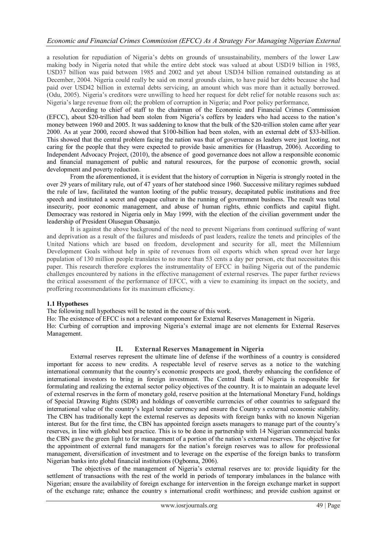a resolution for repudiation of Nigeria's debts on grounds of unsustainability, members of the lower Law making body in Nigeria noted that while the entire debt stock was valued at about USD19 billion in 1985, USD37 billion was paid between 1985 and 2002 and yet about USD34 billion remained outstanding as at December, 2004. Nigeria could really be said on moral grounds claim, to have paid her debts because she had paid over USD42 billion in external debts servicing, an amount which was more than it actually borrowed. (Odu, 2005). Nigeria's creditors were unwilling to heed her request for debt relief for notable reasons such as: Nigeria's large revenue from oil; the problem of corruption in Nigeria; and Poor policy performance,

According to chief of staff to the chairman of the Economic and Financial Crimes Commission (EFCC), about \$20-trillion had been stolen from Nigeria's coffers by leaders who had access to the nation's money between 1960 and 2005. It was saddening to know that the bulk of the \$20-trillion stolen came after year 2000. As at year 2000, record showed that \$100-billion had been stolen, with an external debt of \$33-billion. This showed that the central problem facing the nation was that of governance as leaders were just looting, not caring for the people that they were expected to provide basic amenities for (Haastrup, 2006). According to Independent Advocacy Project, (2010), the absence of good governance does not allow a responsible economic and financial management of public and natural resources, for the purpose of economic growth, social development and poverty reduction.

From the aforementioned, it is evident that the history of corruption in Nigeria is strongly rooted in the over 29 years of military rule, out of 47 years of her statehood since 1960. Successive military regimes subdued the rule of law, facilitated the wanton looting of the public treasury, decapitated public institutions and free speech and instituted a secret and opaque culture in the running of government business. The result was total insecurity, poor economic management, and abuse of human rights, ethnic conflicts and capital flight. Democracy was restored in Nigeria only in May 1999, with the election of the civilian government under the leadership of President Olusegun Obasanjo.

It is against the above background of the need to prevent Nigerians from continued suffering of want and deprivation as a result of the failures and misdeeds of past leaders, realize the tenets and principles of the United Nations which are based on freedom, development and security for all, meet the Millennium Development Goals without help in spite of revenues from oil exports which when spread over her large population of 130 million people translates to no more than 53 cents a day per person, etc that necessitates this paper. This research therefore explores the instrumentality of EFCC in bailing Nigeria out of the pandemic challenges encountered by nations in the effective management of external reserves. The paper further reviews the critical assessment of the performance of EFCC, with a view to examining its impact on the society, and proffering recommendations for its maximum efficiency.

#### **1.1 Hypotheses**

The following null hypotheses will be tested in the course of this work.

Ho: The existence of EFCC is not a relevant component for External Reserves Management in Nigeria. Ho: Curbing of corruption and improving Nigeria's external image are not elements for External Reserves Management.

# **II. External Reserves Management in Nigeria**

External reserves represent the ultimate line of defense if the worthiness of a country is considered important for access to new credits. A respectable level of reserve serves as a notice to the watching international community that the country's economic prospects are good, thereby enhancing the confidence of international investors to bring in foreign investment. The Central Bank of Nigeria is responsible for formulating and realizing the external sector policy objectives of the country. It is to maintain an adequate level of external reserves in the form of monetary gold, reserve position at the International Monetary Fund, holdings of Special Drawing Rights (SDR) and holdings of convertible currencies of other countries to safeguard the international value of the country's legal tender currency and ensure the Country s external economic stability. The CBN has traditionally kept the external reserves as deposits with foreign banks with no known Nigerian interest. But for the first time, the CBN has appointed foreign assets managers to manage part of the country's reserves, in line with global best practice. This is to be done in partnership with 14 Nigerian commercial banks the CBN gave the green light to for management of a portion of the nation's external reserves. The objective for the appointment of external fund managers for the nation's foreign reserves was to allow for professional management, diversification of investment and to leverage on the expertise of the foreign banks to transform Nigerian banks into global financial institutions (Ogbonna, 2006).

The objectives of the management of Nigeria's external reserves are to: provide liquidity for the settlement of transactions with the rest of the world in periods of temporary imbalances in the balance with Nigerian; ensure the availability of foreign exchange for intervention in the foreign exchange market in support of the exchange rate; enhance the country s international credit worthiness; and provide cushion against or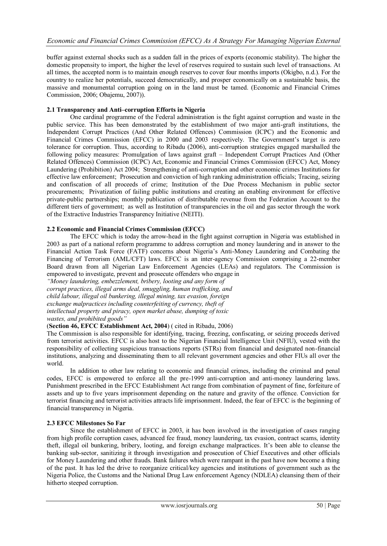buffer against external shocks such as a sudden fall in the prices of exports (economic stability). The higher the domestic propensity to import, the higher the level of reserves required to sustain such level of transactions. At all times, the accepted norm is to maintain enough reserves to cover four months imports (Okigbo, n.d.). For the country to realize her potentials, succeed democratically, and prosper economically on a sustainable basis, the massive and monumental corruption going on in the land must be tamed. (Economic and Financial Crimes Commission, 2006; Obajemu, 2007)).

# **2.1 Transparency and Anti–corruption Efforts in Nigeria**

One cardinal programme of the Federal administration is the fight against corruption and waste in the public service. This has been demonstrated by the establishment of two major anti-graft institutions, the Independent Corrupt Practices (And Other Related Offences) Commission (ICPC) and the Economic and Financial Crimes Commission (EFCC) in 2000 and 2003 respectively. The Government's target is zero tolerance for corruption. Thus, according to Ribadu (2006), anti-corruption strategies engaged marshalled the following policy measures: Promulgation of laws against graft – Independent Corrupt Practices And (Other Related Offences) Commission (ICPC) Act, Economic and Financial Crimes Commission (EFCC) Act, Money Laundering (Prohibition) Act 2004; Strengthening of anti-corruption and other economic crimes Institutions for effective law enforcement; Prosecution and conviction of high ranking administration officials; Tracing, seizing and confiscation of all proceeds of crime; Institution of the Due Process Mechanism in public sector procurements; Privatization of failing public institutions and creating an enabling environment for effective private-public partnerships; monthly publication of distributable revenue from the Federation Account to the different tiers of government; as well as Institution of transparencies in the oil and gas sector through the work of the Extractive Industries Transparency Initiative (NEITI).

# **2.2 Economic and Financial Crimes Commission (EFCC)**

The EFCC which is today the arrow-head in the fight against corruption in Nigeria was established in 2003 as part of a national reform programme to address corruption and money laundering and in answer to the Financial Action Task Force (FATF) concerns about Nigeria's Anti-Money Laundering and Combating the Financing of Terrorism (AML/CFT) laws. EFCC is an inter-agency Commission comprising a 22-member Board drawn from all Nigerian Law Enforcement Agencies (LEAs) and regulators. The Commission is empowered to investigate, prevent and prosecute offenders who engage in

*"Money laundering, embezzlement, bribery, looting and any form of corrupt practices, illegal arms deal, smuggling, human trafficking, and child labour, illegal oil bunkering, illegal mining, tax evasion, foreign exchange malpractices including counterfeiting of currency, theft of intellectual property and piracy, open market abuse, dumping of toxic wastes, and prohibited goods"* 

# (**Section 46, EFCC Establishment Act, 2004**) ( cited in Ribadu, 2006)

The Commission is also responsible for identifying, tracing, freezing, confiscating, or seizing proceeds derived from terrorist activities. EFCC is also host to the Nigerian Financial Intelligence Unit (NFIU), vested with the responsibility of collecting suspicious transactions reports (STRs) from financial and designated non-financial institutions, analyzing and disseminating them to all relevant government agencies and other FIUs all over the world.

In addition to other law relating to economic and financial crimes, including the criminal and penal codes, EFCC is empowered to enforce all the pre-1999 anti-corruption and anti-money laundering laws. Punishment prescribed in the EFCC Establishment Act range from combination of payment of fine, forfeiture of assets and up to five years imprisonment depending on the nature and gravity of the offence. Conviction for terrorist financing and terrorist activities attracts life imprisonment. Indeed, the fear of EFCC is the beginning of financial transparency in Nigeria.

# **2.3 EFCC Milestones So Far**

Since the establishment of EFCC in 2003, it has been involved in the investigation of cases ranging from high profile corruption cases, advanced fee fraud, money laundering, tax evasion, contract scams, identity theft, illegal oil bunkering, bribery, looting, and foreign exchange malpractices. It's been able to cleanse the banking sub-sector, sanitizing it through investigation and prosecution of Chief Executives and other officials for Money Laundering and other frauds. Bank failures which were rampant in the past have now become a thing of the past. It has led the drive to reorganize critical/key agencies and institutions of government such as the Nigeria Police, the Customs and the National Drug Law enforcement Agency (NDLEA) cleansing them of their hitherto steeped corruption.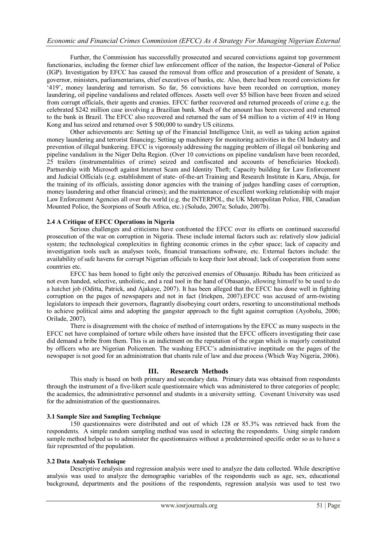Further, the Commission has successfully prosecuted and secured convictions against top government functionaries, including the former chief law enforcement officer of the nation, the Inspector-General of Police (IGP). Investigation by EFCC has caused the removal from office and prosecution of a president of Senate, a governor, ministers, parliamentarians, chief executives of banks, etc. Also, there had been record convictions for '419', money laundering and terrorism. So far, 56 convictions have been recorded on corruption, money laundering, oil pipeline vandalisms and related offences. Assets well over \$5 billion have been frozen and seized from corrupt officials, their agents and cronies. EFCC further recovered and returned proceeds of crime e.g. the celebrated \$242 million case involving a Brazilian bank. Much of the amount has been recovered and returned to the bank in Brazil. The EFCC also recovered and returned the sum of \$4 million to a victim of 419 in Hong Kong and has seized and returned over \$ 500,000 to sundry US citizens.

Other achievements are: Setting up of the Financial Intelligence Unit, as well as taking action against money laundering and terrorist financing; Setting up machinery for monitoring activities in the Oil Industry and prevention of illegal bunkering. EFCC is vigorously addressing the nagging problem of illegal oil bunkering and pipeline vandalism in the Niger Delta Region. (Over 10 convictions on pipeline vandalism have been recorded, 25 trailers (instrumentalities of crime) seized and confiscated and accounts of beneficiaries blocked). Partnership with Microsoft against Internet Scam and Identity Theft; Capacity building for Law Enforcement and Judicial Officials (e.g. establishment of state- of-the-art Training and Research Institute in Karu, Abuja, for the training of its officials, assisting donor agencies with the training of judges handling cases of corruption, money laundering and other financial crimes); and the maintenance of excellent working relationship with major Law Enforcement Agencies all over the world (e.g. the INTERPOL, the UK Metropolitan Police, FBI, Canadian Mounted Police, the Scorpions of South Africa, etc.) (Soludo, 2007a; Soludo, 2007b).

## **2.4 A Critique of EFCC Operations in Nigeria**

Serious challenges and criticisms have confronted the EFCC over its efforts on continued successful prosecution of the war on corruption in Nigeria. These include internal factors such as: relatively slow judicial system; the technological complexities in fighting economic crimes in the cyber space; lack of capacity and investigation tools such as analyses tools, financial transactions software, etc. External factors include: the availability of safe havens for corrupt Nigerian officials to keep their loot abroad; lack of cooperation from some countries etc.

EFCC has been honed to fight only the perceived enemies of Obasanjo. Ribadu has been criticized as not even handed, selective, unholistic, and a real tool in the hand of Obasanjo, allowing himself to be used to do a hatchet job (Oditta, Patrick, and Ajakaye, 2007). It has been alleged that the EFCC has done well in fighting corruption on the pages of newspapers and not in fact (Iriekpen, 2007).EFCC was accused of arm-twisting legislators to impeach their governors, flagrantly disobeying court orders, resorting to unconstitutional methods to achieve political aims and adopting the gangster approach to the fight against corruption (Ayobolu, 2006; Orilade, 2007).

There is disagreement with the choice of method of interrogations by the EFCC as many suspects in the EFCC net have complained of torture while others have insisted that the EFCC officers investigating their case did demand a bribe from them. This is an indictment on the reputation of the organ which is majorly constituted by officers who are Nigerian Policemen. The washing EFCC's administrative ineptitude on the pages of the newspaper is not good for an administration that chants rule of law and due process (Which Way Nigeria, 2006).

# **III. Research Methods**

This study is based on both primary and secondary data. Primary data was obtained from respondents through the instrument of a five-likert scale questionnaire which was administered to three categories of people; the academics, the administrative personnel and students in a university setting. Covenant University was used for the administration of the questionnaires.

#### **3.1 Sample Size and Sampling Technique**

150 questionnaires were distributed and out of which 128 or 85.3% was retrieved back from the respondents. A simple random sampling method was used in selecting the respondents. Using simple random sample method helped us to administer the questionnaires without a predetermined specific order so as to have a fair represented of the population.

#### **3.2 Data Analysis Technique**

Descriptive analysis and regression analysis were used to analyze the data collected. While descriptive analysis was used to analyze the demographic variables of the respondents such as age, sex, educational background, departments and the positions of the respondents, regression analysis was used to test two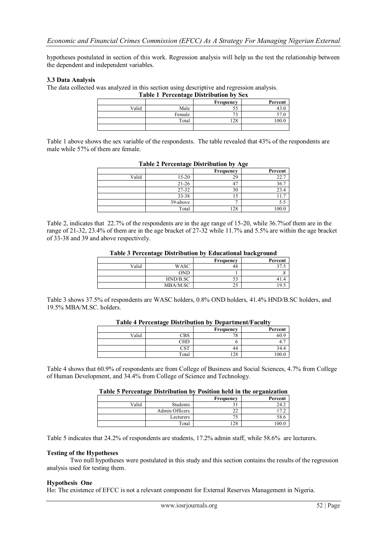hypotheses postulated in section of this work. Regression analysis will help us the test the relationship between the dependent and independent variables.

### **3.3 Data Analysis**

The data collected was analyzed in this section using descriptive and regression analysis. **Table 1 Percentage Distribution by Sex**

| Table T Terecutage Distribution by<br>$\mathbf{v}$ |        |           |         |  |  |  |
|----------------------------------------------------|--------|-----------|---------|--|--|--|
|                                                    |        | Frequency | Percent |  |  |  |
| Valid                                              | Male   |           |         |  |  |  |
|                                                    | Female | רי        |         |  |  |  |
|                                                    | Total  | 128       | 100.0   |  |  |  |
|                                                    |        |           |         |  |  |  |

Table 1 above shows the sex variable of the respondents. The table revealed that 43% of the respondents are male while 57% of them are female.

|       |           |           | $\overline{\phantom{a}}$ |
|-------|-----------|-----------|--------------------------|
|       |           | Frequency | Percent                  |
| Valid | $15 - 20$ | 29        | 22.7                     |
|       | $21 - 26$ | 47        | 36.7                     |
|       | 27-32     | 30        | 23.4                     |
|       | 33-38     | 15        | 11.1                     |
|       | 39-above  |           | כ.כ                      |
|       | Total     | 128       | 100.0                    |

### **Table 2 Percentage Distribution by Age**

Table 2, indicates that 22.7% of the respondents are in the age range of 15-20, while 36.7%of them are in the range of 21-32, 23.4% of them are in the age bracket of 27-32 while 11.7% and 5.5% are within the age bracket of 33-38 and 39 and above respectively.

|  |  | Table 3 Percentage Distribution by Educational background |  |  |  |
|--|--|-----------------------------------------------------------|--|--|--|
|--|--|-----------------------------------------------------------|--|--|--|

|       |             | Frequency | Percent |
|-------|-------------|-----------|---------|
| Valid | <b>WASC</b> | 48        |         |
|       | <b>OND</b>  |           |         |
|       | HND/B.SC    | - -<br>ээ |         |
|       | MBA/M.SC    | 25        |         |

Table 3 shows 37.5% of respondents are WASC holders, 0.8% OND holders, 41.4% HND/B.SC holders, and 19.5% MBA/M.SC. holders.

|       | Tuble + Telechinge Distribution by Deput thiene I aculty |                    |         |
|-------|----------------------------------------------------------|--------------------|---------|
|       |                                                          | Frequency          | Percent |
| Valid | CBS                                                      | 70<br>$\bf \sigma$ | 60.9    |
|       | CHD                                                      |                    |         |
|       | CST                                                      | 44                 | 34.4    |
|       | Total                                                    | $\Omega$           | 00.     |

### **Table 4 Percentage Distribution by Department/Faculty**

Table 4 shows that 60.9% of respondents are from College of Business and Social Sciences, 4.7% from College of Human Development, and 34.4% from College of Science and Technology.

|       |                | Frequency | Percent |
|-------|----------------|-----------|---------|
| Valid | Students       |           | 24.2    |
|       | Admin Officers | n n<br>∠∠ | -       |
|       | Lecturers      |           | 58.6    |
|       | Total          | 28        | 100.0   |

Table 5 indicates that 24.2% of respondents are students, 17.2% admin staff, while 58.6% are lecturers.

#### **Testing of the Hypotheses**

Two null hypotheses were postulated in this study and this section contains the results of the regression analysis used for testing them.

#### **Hypothesis One**

Ho: The existence of EFCC is not a relevant component for External Reserves Management in Nigeria.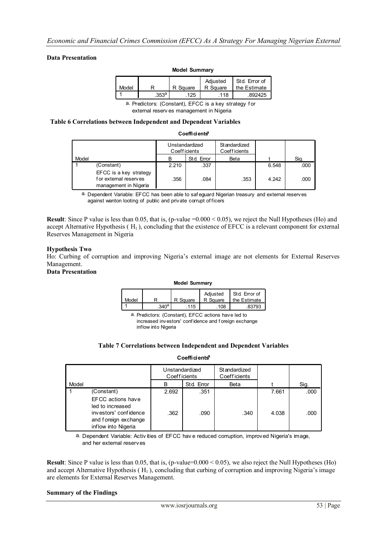#### **Data Presentation**

#### **Model Summary**

| Model                                                                                                                      |                   | R Square | Adjusted<br>R Square | Std. Error of<br>the Estimate |  |  |  |
|----------------------------------------------------------------------------------------------------------------------------|-------------------|----------|----------------------|-------------------------------|--|--|--|
|                                                                                                                            | .353 <sup>a</sup> | .125     | .118                 | .892425                       |  |  |  |
| a. Predictors: (Constant), EFCC is a key strategy for<br>and also all sees a service the also a sees a set that Mit seed a |                   |          |                      |                               |  |  |  |

external reserv es management in Nigeria

#### **Table 6 Correlations between Independent and Dependent Variables**

|                                                                                                                                                                  | Coefficients <sup>a</sup>                                                |                                 |            |                               |         |      |  |  |
|------------------------------------------------------------------------------------------------------------------------------------------------------------------|--------------------------------------------------------------------------|---------------------------------|------------|-------------------------------|---------|------|--|--|
|                                                                                                                                                                  |                                                                          | Unstandardized<br>Coeff icients |            | Standardized<br>Coeff icients |         |      |  |  |
| Model                                                                                                                                                            |                                                                          | В                               | Std. Error | <b>Beta</b>                   |         | Sig. |  |  |
|                                                                                                                                                                  | (Constant)                                                               | 2.210                           | .337       |                               | 6.548   | .000 |  |  |
|                                                                                                                                                                  | EFCC is a key strategy<br>for external reserves<br>management in Nigeria | .356                            | .084       | .353                          | 4 2 4 2 | .000 |  |  |
| a. Dependent Variable: EFCC has been able to safeguard Nigerian treasury and external reserves<br>against wanton looting of public and private corrupt of ficers |                                                                          |                                 |            |                               |         |      |  |  |

**Result**: Since P value is less than  $0.05$ , that is, (p-value  $=0.000 < 0.05$ ), we reject the Null Hypotheses (Ho) and accept Alternative Hypothesis  $(H_1)$ , concluding that the existence of EFCC is a relevant component for external Reserves Management in Nigeria

#### **Hypothesis Two**

Ho: Curbing of corruption and improving Nigeria's external image are not elements for External Reserves Management.

#### **Data Presentation**

#### **Model Summary**

| Model |                  | R Square | Adiusted<br>R Square | Std. Error of<br>the Estimate |
|-------|------------------|----------|----------------------|-------------------------------|
|       | 340 <sup>a</sup> | 115      | 108                  | 83793                         |

a. Predictors: (Constant), EFCC actions have led to increased investors' conf idence and f oreign exchange inflow into Nigeria

#### **Table 7 Correlations between Independent and Dependent Variables**

| Coefficients <sup>a</sup> |                                                                                                                             |                                 |              |                                       |                |              |  |
|---------------------------|-----------------------------------------------------------------------------------------------------------------------------|---------------------------------|--------------|---------------------------------------|----------------|--------------|--|
|                           |                                                                                                                             | Unstandardized<br>Coeff icients |              | St and ardized<br><b>Coefficients</b> |                |              |  |
| Model                     |                                                                                                                             | B.                              | Std. Error   | Beta                                  |                | Sig.         |  |
|                           | (Constant)<br>EFCC actions have<br>led to increased<br>investors' confidence<br>and foreign exchange<br>inflow into Nigeria | 2.692<br>.362                   | .351<br>.090 | .340                                  | 7.661<br>4.038 | .000<br>.000 |  |
|                           | a. Dependent Variable: Activities of EFCC have reduced corruption, improved Nigeria's image,<br>and her external reserves   |                                 |              |                                       |                |              |  |

and her external reserves a.

**Result**: Since P value is less than 0.05, that is, (p-value=0.000 < 0.05), we also reject the Null Hypotheses (Ho) and accept Alternative Hypothesis ( $H_1$ ), concluding that curbing of corruption and improving Nigeria's image are elements for External Reserves Management.

#### **Summary of the Findings**